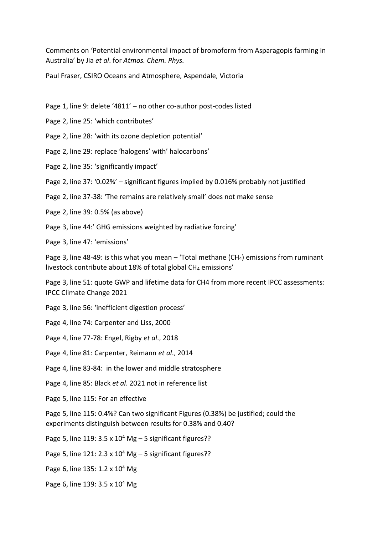Comments on 'Potential environmental impact of bromoform from Asparagopis farming in Australia' by Jia *et al*. for *Atmos. Chem. Phys.*

Paul Fraser, CSIRO Oceans and Atmosphere, Aspendale, Victoria

- Page 1, line 9: delete '4811' no other co-author post-codes listed
- Page 2, line 25: 'which contributes'
- Page 2, line 28: 'with its ozone depletion potential'
- Page 2, line 29: replace 'halogens' with' halocarbons'
- Page 2, line 35: 'significantly impact'
- Page 2, line 37: '0.02%' significant figures implied by 0.016% probably not justified
- Page 2, line 37-38: 'The remains are relatively small' does not make sense
- Page 2, line 39: 0.5% (as above)
- Page 3, line 44:' GHG emissions weighted by radiative forcing'

Page 3, line 47: 'emissions'

Page 3, line 48-49: is this what you mean  $-$  'Total methane (CH<sub>4</sub>) emissions from ruminant livestock contribute about 18% of total global CH<sub>4</sub> emissions'

Page 3, line 51: quote GWP and lifetime data for CH4 from more recent IPCC assessments: IPCC Climate Change 2021

Page 3, line 56: 'inefficient digestion process'

Page 4, line 74: Carpenter and Liss, 2000

Page 4, line 77-78: Engel, Rigby *et al*., 2018

Page 4, line 81: Carpenter, Reimann *et al*., 2014

Page 4, line 83-84: in the lower and middle stratosphere

Page 4, line 85: Black *et al*. 2021 not in reference list

Page 5, line 115: For an effective

Page 5, line 115: 0.4%? Can two significant Figures (0.38%) be justified; could the experiments distinguish between results for 0.38% and 0.40?

Page 5, line 119:  $3.5 \times 10^4$  Mg  $- 5$  significant figures??

Page 5, line 121: 2.3 x  $10^4$  Mg – 5 significant figures??

Page 6, line 135: 1.2 x 10<sup>4</sup> Mg

Page 6, line 139: 3.5 x 10<sup>4</sup> Mg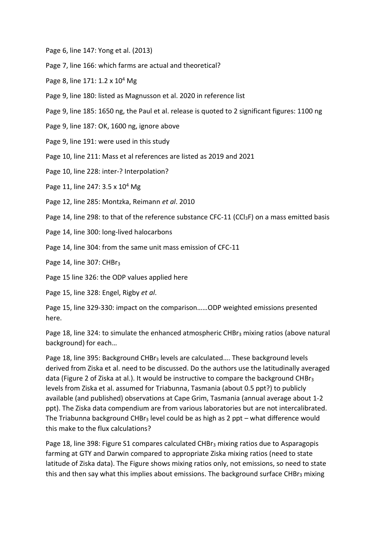- Page 6, line 147: Yong et al. (2013)
- Page 7, line 166: which farms are actual and theoretical?
- Page 8, line  $171: 1.2 \times 10^4$  Mg
- Page 9, line 180: listed as Magnusson et al. 2020 in reference list
- Page 9, line 185: 1650 ng, the Paul et al. release is quoted to 2 significant figures: 1100 ng
- Page 9, line 187: OK, 1600 ng, ignore above
- Page 9, line 191: were used in this study
- Page 10, line 211: Mass et al references are listed as 2019 and 2021
- Page 10, line 228: inter-? Interpolation?
- Page 11, line 247: 3.5 x 10<sup>4</sup> Mg
- Page 12, line 285: Montzka, Reimann *et al*. 2010
- Page 14, line 298: to that of the reference substance CFC-11 (CCl<sub>3</sub>F) on a mass emitted basis
- Page 14, line 300: long-lived halocarbons
- Page 14, line 304: from the same unit mass emission of CFC-11

Page 14, line 307: CHBr<sub>3</sub>

Page 15 line 326: the ODP values applied here

Page 15, line 328: Engel, Rigby *et al*.

Page 15, line 329-330: impact on the comparison……ODP weighted emissions presented here.

Page 18, line 324: to simulate the enhanced atmospheric CHB $r_3$  mixing ratios (above natural background) for each…

Page 18, line 395: Background CHBr<sub>3</sub> levels are calculated.... These background levels derived from Ziska et al. need to be discussed. Do the authors use the latitudinally averaged data (Figure 2 of Ziska at al.). It would be instructive to compare the background CHBr<sub>3</sub> levels from Ziska et al. assumed for Triabunna, Tasmania (about 0.5 ppt?) to publicly available (and published) observations at Cape Grim, Tasmania (annual average about 1-2 ppt). The Ziska data compendium are from various laboratories but are not intercalibrated. The Triabunna background  $CHBr<sub>3</sub>$  level could be as high as 2 ppt – what difference would this make to the flux calculations?

Page 18, line 398: Figure S1 compares calculated CHBr<sub>3</sub> mixing ratios due to Asparagopis farming at GTY and Darwin compared to appropriate Ziska mixing ratios (need to state latitude of Ziska data). The Figure shows mixing ratios only, not emissions, so need to state this and then say what this implies about emissions. The background surface CHB $r_3$  mixing